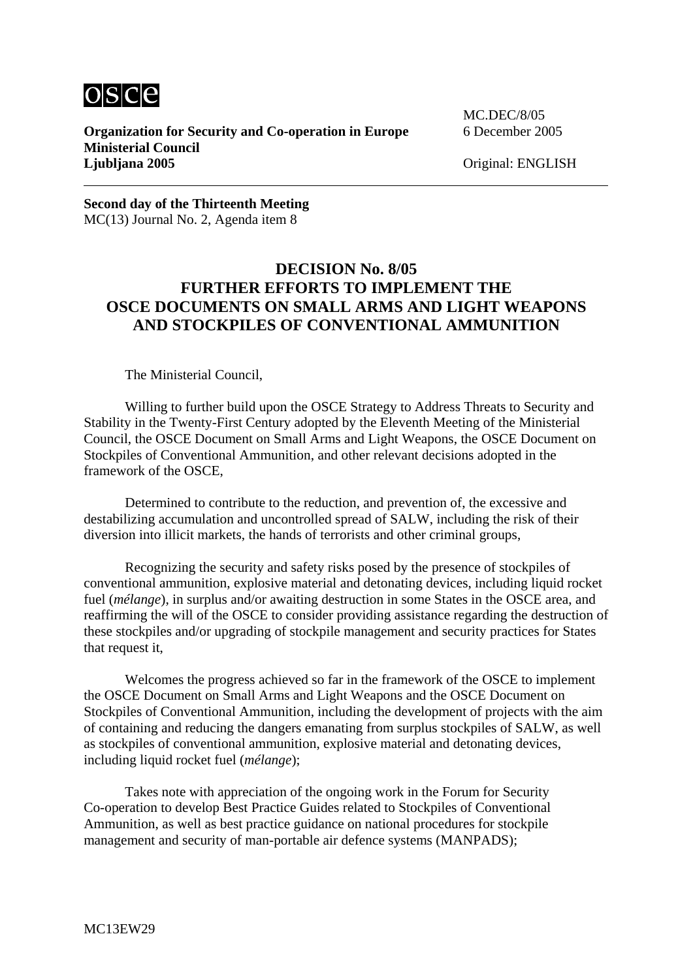

**Organization for Security and Co-operation in Europe** 6 December 2005 **Ministerial Council Ljubljana 2005** Original: ENGLISH

MC.DEC/8/05

**Second day of the Thirteenth Meeting**  MC(13) Journal No. 2, Agenda item 8

## **DECISION No. 8/05 FURTHER EFFORTS TO IMPLEMENT THE OSCE DOCUMENTS ON SMALL ARMS AND LIGHT WEAPONS AND STOCKPILES OF CONVENTIONAL AMMUNITION**

The Ministerial Council,

 Willing to further build upon the OSCE Strategy to Address Threats to Security and Stability in the Twenty-First Century adopted by the Eleventh Meeting of the Ministerial Council, the OSCE Document on Small Arms and Light Weapons, the OSCE Document on Stockpiles of Conventional Ammunition, and other relevant decisions adopted in the framework of the OSCE,

 Determined to contribute to the reduction, and prevention of, the excessive and destabilizing accumulation and uncontrolled spread of SALW, including the risk of their diversion into illicit markets, the hands of terrorists and other criminal groups,

 Recognizing the security and safety risks posed by the presence of stockpiles of conventional ammunition, explosive material and detonating devices, including liquid rocket fuel *(mélange)*, in surplus and/or awaiting destruction in some States in the OSCE area, and reaffirming the will of the OSCE to consider providing assistance regarding the destruction of these stockpiles and/or upgrading of stockpile management and security practices for States that request it,

Welcomes the progress achieved so far in the framework of the OSCE to implement the OSCE Document on Small Arms and Light Weapons and the OSCE Document on Stockpiles of Conventional Ammunition, including the development of projects with the aim of containing and reducing the dangers emanating from surplus stockpiles of SALW, as well as stockpiles of conventional ammunition, explosive material and detonating devices, including liquid rocket fuel (*mélange*);

Takes note with appreciation of the ongoing work in the Forum for Security Co-operation to develop Best Practice Guides related to Stockpiles of Conventional Ammunition, as well as best practice guidance on national procedures for stockpile management and security of man-portable air defence systems (MANPADS);